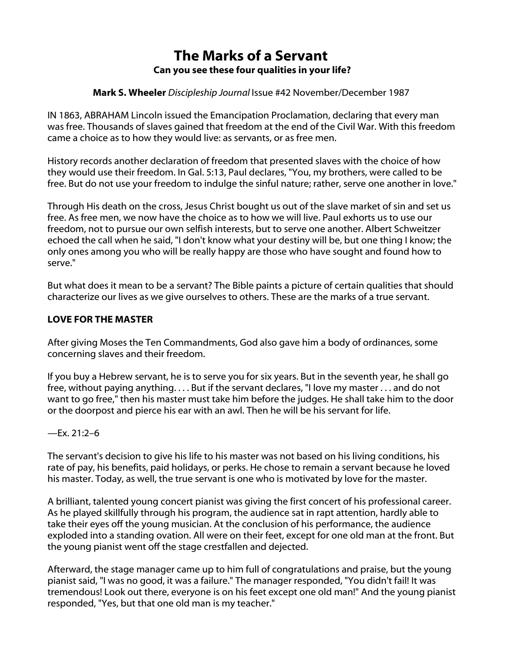# The Marks of a Servant Can you see these four qualities in your life?

### Mark S. Wheeler *Discipleship Journal* Issue #42 November/December 1987

IN 1863, ABRAHAM Lincoln issued the Emancipation Proclamation, declaring that every man was free. Thousands of slaves gained that freedom at the end of the Civil War. With this freedom came a choice as to how they would live: as servants, or as free men.

History records another declaration of freedom that presented slaves with the choice of how they would use their freedom. In Gal. 5:13, Paul declares, "You, my brothers, were called to be free. But do not use your freedom to indulge the sinful nature; rather, serve one another in love."

Through His death on the cross, Jesus Christ bought us out of the slave market of sin and set us free. As free men, we now have the choice as to how we will live. Paul exhorts us to use our freedom, not to pursue our own selfish interests, but to serve one another. Albert Schweitzer echoed the call when he said, "I don't know what your destiny will be, but one thing I know; the only ones among you who will be really happy are those who have sought and found how to serve."

But what does it mean to be a servant? The Bible paints a picture of certain qualities that should characterize our lives as we give ourselves to others. These are the marks of a true servant.

## LOVE FOR THE MASTER

After giving Moses the Ten Commandments, God also gave him a body of ordinances, some concerning slaves and their freedom.

If you buy a Hebrew servant, he is to serve you for six years. But in the seventh year, he shall go free, without paying anything. . . . But if the servant declares, "I love my master . . . and do not want to go free," then his master must take him before the judges. He shall take him to the door or the doorpost and pierce his ear with an awl. Then he will be his servant for life.

## —Ex. 21:2–6

The servant's decision to give his life to his master was not based on his living conditions, his rate of pay, his benefits, paid holidays, or perks. He chose to remain a servant because he loved his master. Today, as well, the true servant is one who is motivated by love for the master.

A brilliant, talented young concert pianist was giving the first concert of his professional career. As he played skillfully through his program, the audience sat in rapt attention, hardly able to take their eyes off the young musician. At the conclusion of his performance, the audience exploded into a standing ovation. All were on their feet, except for one old man at the front. But the young pianist went off the stage crestfallen and dejected.

Afterward, the stage manager came up to him full of congratulations and praise, but the young pianist said, "I was no good, it was a failure." The manager responded, "You didn't fail! It was tremendous! Look out there, everyone is on his feet except one old man!" And the young pianist responded, "Yes, but that one old man is my teacher."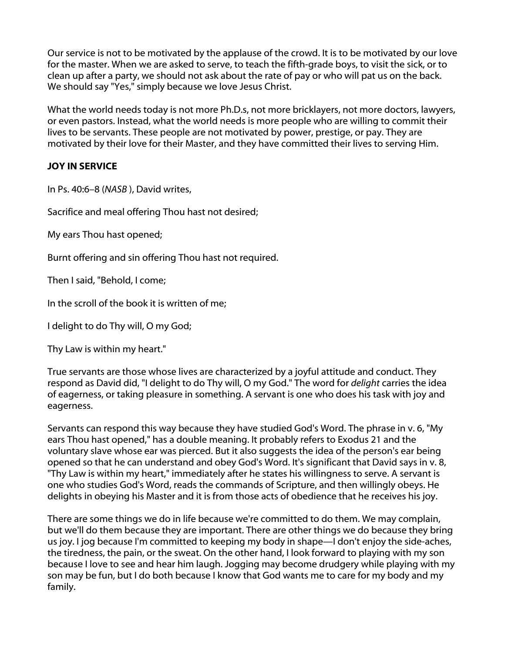Our service is not to be motivated by the applause of the crowd. It is to be motivated by our love for the master. When we are asked to serve, to teach the fifth-grade boys, to visit the sick, or to clean up after a party, we should not ask about the rate of pay or who will pat us on the back. We should say "Yes," simply because we love Jesus Christ.

What the world needs today is not more Ph.D.s, not more bricklayers, not more doctors, lawyers, or even pastors. Instead, what the world needs is more people who are willing to commit their lives to be servants. These people are not motivated by power, prestige, or pay. They are motivated by their love for their Master, and they have committed their lives to serving Him.

## JOY IN SERVICE

In Ps. 40:6–8 (*NASB* ), David writes,

Sacrifice and meal offering Thou hast not desired;

My ears Thou hast opened;

Burnt offering and sin offering Thou hast not required.

Then I said, "Behold, I come;

In the scroll of the book it is written of me;

I delight to do Thy will, O my God;

Thy Law is within my heart."

True servants are those whose lives are characterized by a joyful attitude and conduct. They respond as David did, "I delight to do Thy will, O my God." The word for *delight* carries the idea of eagerness, or taking pleasure in something. A servant is one who does his task with joy and eagerness.

Servants can respond this way because they have studied God's Word. The phrase in v. 6, "My ears Thou hast opened," has a double meaning. It probably refers to Exodus 21 and the voluntary slave whose ear was pierced. But it also suggests the idea of the person's ear being opened so that he can understand and obey God's Word. It's significant that David says in v. 8, "Thy Law is within my heart," immediately after he states his willingness to serve. A servant is one who studies God's Word, reads the commands of Scripture, and then willingly obeys. He delights in obeying his Master and it is from those acts of obedience that he receives his joy.

There are some things we do in life because we're committed to do them. We may complain, but we'll do them because they are important. There are other things we do because they bring us joy. I jog because I'm committed to keeping my body in shape—I don't enjoy the side-aches, the tiredness, the pain, or the sweat. On the other hand, I look forward to playing with my son because I love to see and hear him laugh. Jogging may become drudgery while playing with my son may be fun, but I do both because I know that God wants me to care for my body and my family.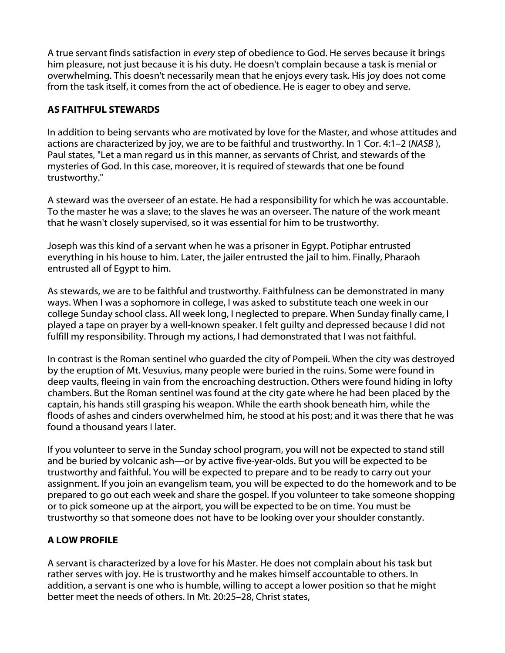A true servant finds satisfaction in *every* step of obedience to God. He serves because it brings him pleasure, not just because it is his duty. He doesn't complain because a task is menial or overwhelming. This doesn't necessarily mean that he enjoys every task. His joy does not come from the task itself, it comes from the act of obedience. He is eager to obey and serve.

## AS FAITHFUL STEWARDS

In addition to being servants who are motivated by love for the Master, and whose attitudes and actions are characterized by joy, we are to be faithful and trustworthy. In 1 Cor. 4:1–2 (*NASB* ), Paul states, "Let a man regard us in this manner, as servants of Christ, and stewards of the mysteries of God. In this case, moreover, it is required of stewards that one be found trustworthy."

A steward was the overseer of an estate. He had a responsibility for which he was accountable. To the master he was a slave; to the slaves he was an overseer. The nature of the work meant that he wasn't closely supervised, so it was essential for him to be trustworthy.

Joseph was this kind of a servant when he was a prisoner in Egypt. Potiphar entrusted everything in his house to him. Later, the jailer entrusted the jail to him. Finally, Pharaoh entrusted all of Egypt to him.

As stewards, we are to be faithful and trustworthy. Faithfulness can be demonstrated in many ways. When I was a sophomore in college, I was asked to substitute teach one week in our college Sunday school class. All week long, I neglected to prepare. When Sunday finally came, I played a tape on prayer by a well-known speaker. I felt guilty and depressed because I did not fulfill my responsibility. Through my actions, I had demonstrated that I was not faithful.

In contrast is the Roman sentinel who guarded the city of Pompeii. When the city was destroyed by the eruption of Mt. Vesuvius, many people were buried in the ruins. Some were found in deep vaults, fleeing in vain from the encroaching destruction. Others were found hiding in lofty chambers. But the Roman sentinel was found at the city gate where he had been placed by the captain, his hands still grasping his weapon. While the earth shook beneath him, while the floods of ashes and cinders overwhelmed him, he stood at his post; and it was there that he was found a thousand years I later.

If you volunteer to serve in the Sunday school program, you will not be expected to stand still and be buried by volcanic ash—or by active five-year-olds. But you will be expected to be trustworthy and faithful. You will be expected to prepare and to be ready to carry out your assignment. If you join an evangelism team, you will be expected to do the homework and to be prepared to go out each week and share the gospel. If you volunteer to take someone shopping or to pick someone up at the airport, you will be expected to be on time. You must be trustworthy so that someone does not have to be looking over your shoulder constantly.

## A LOW PROFILE

A servant is characterized by a love for his Master. He does not complain about his task but rather serves with joy. He is trustworthy and he makes himself accountable to others. In addition, a servant is one who is humble, willing to accept a lower position so that he might better meet the needs of others. In Mt. 20:25–28, Christ states,